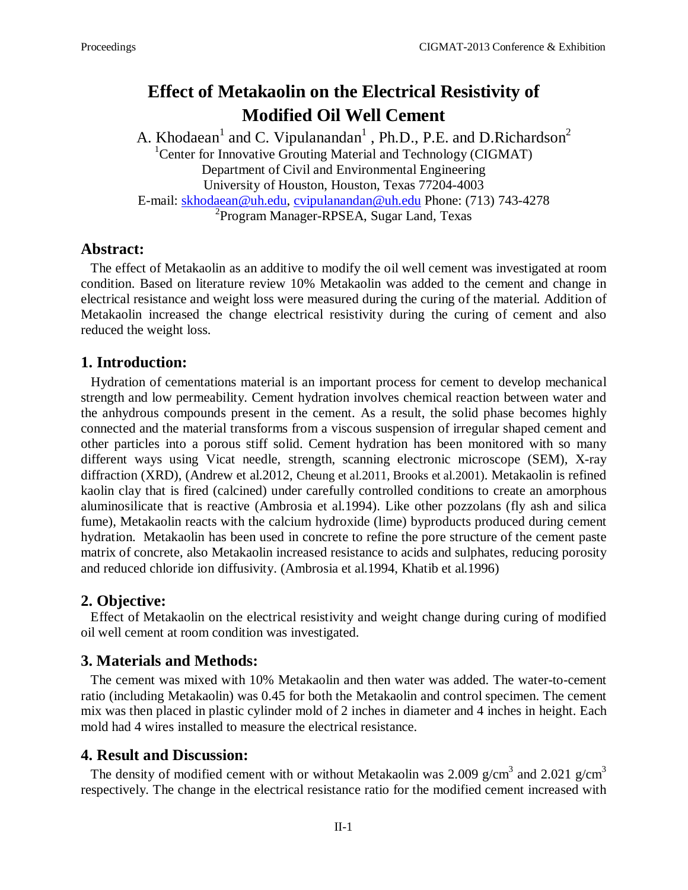# **Effect of Metakaolin on the Electrical Resistivity of Modified Oil Well Cement**

A. Khodaean<sup>1</sup> and C. Vipulanandan<sup>1</sup>, Ph.D., P.E. and D.Richardson<sup>2</sup> <sup>1</sup>Center for Innovative Grouting Material and Technology (CIGMAT) Department of Civil and Environmental Engineering University of Houston, Houston, Texas 77204-4003 E-mail: [skhodaean@uh.edu,](mailto:skhodaean@uh.edu) [cvipulanandan@uh.edu](mailto:cvipulanandan@uh.edu) Phone: (713) 743-4278 <sup>2</sup> Program Manager-RPSEA, Sugar Land, Texas

### **Abstract:**

 The effect of Metakaolin as an additive to modify the oil well cement was investigated at room condition. Based on literature review 10% Metakaolin was added to the cement and change in electrical resistance and weight loss were measured during the curing of the material. Addition of Metakaolin increased the change electrical resistivity during the curing of cement and also reduced the weight loss.

### **1. Introduction:**

 Hydration of cementations material is an important process for cement to develop mechanical strength and low permeability. Cement hydration involves chemical reaction between water and the anhydrous compounds present in the cement. As a result, the solid phase becomes highly connected and the material transforms from a viscous suspension of irregular shaped cement and other particles into a porous stiff solid. Cement hydration has been monitored with so many different ways using Vicat needle, strength, scanning electronic microscope (SEM), X-ray diffraction (XRD), (Andrew et al.2012, Cheung et al.2011, Brooks et al.2001). Metakaolin is refined kaolin clay that is fired (calcined) under carefully controlled conditions to create an amorphous aluminosilicate that is reactive (Ambrosia et al.1994). Like other pozzolans (fly ash and silica fume), Metakaolin reacts with the calcium hydroxide (lime) byproducts produced during cement hydration. Metakaolin has been used in concrete to refine the pore structure of the cement paste matrix of concrete, also Metakaolin increased resistance to acids and sulphates, reducing porosity and reduced chloride ion diffusivity. (Ambrosia et al.1994, Khatib et al.1996)

### **2. Objective:**

 Effect of Metakaolin on the electrical resistivity and weight change during curing of modified oil well cement at room condition was investigated.

## **3. Materials and Methods:**

 The cement was mixed with 10% Metakaolin and then water was added. The water-to-cement ratio (including Metakaolin) was 0.45 for both the Metakaolin and control specimen. The cement mix was then placed in plastic cylinder mold of 2 inches in diameter and 4 inches in height. Each mold had 4 wires installed to measure the electrical resistance.

### **4. Result and Discussion:**

The density of modified cement with or without Metakaolin was 2.009 g/cm<sup>3</sup> and 2.021 g/cm<sup>3</sup> respectively. The change in the electrical resistance ratio for the modified cement increased with